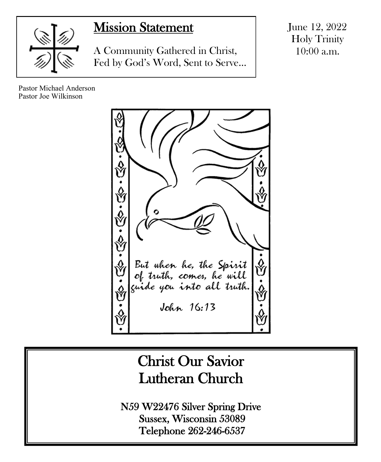

### **Mission Statement**

A Community Gathered in Christ, Fed by God's Word, Sent to Serve... June 12, 2022 Holy Trinity 10:00 a.m.

Pastor Michael Anderson Pastor Joe Wilkinson



# Christ Our Savior Lutheran Church

N59 W22476 Silver Spring Drive Sussex, Wisconsin 53089 Telephone 262-246-6537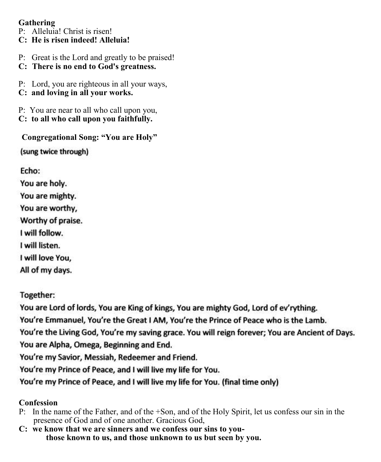#### **Gathering**

P: Alleluia! Christ is risen!

- **C: He is risen indeed! Alleluia!**
- P: Great is the Lord and greatly to be praised!
- **C: There is no end to God's greatness.**
- P: Lord, you are righteous in all your ways,
- **C: and loving in all your works.**
- P: You are near to all who call upon you,
- **C: to all who call upon you faithfully.**

**Congregational Song: "You are Holy"**

(sung twice through)

Echo:

You are holy.

You are mighty.

You are worthy,

Worthy of praise.

I will follow.

I will listen.

I will love You,

All of my days.

Together:

You are Lord of lords, You are King of kings, You are mighty God, Lord of ev'rything. You're Emmanuel, You're the Great I AM, You're the Prince of Peace who is the Lamb. You're the Living God, You're my saving grace. You will reign forever; You are Ancient of Days. You are Alpha, Omega, Beginning and End. You're my Savior, Messiah, Redeemer and Friend.

You're my Prince of Peace, and I will live my life for You.

You're my Prince of Peace, and I will live my life for You. (final time only)

#### **Confession**

- P: In the name of the Father, and of the +Son, and of the Holy Spirit, let us confess our sin in the presence of God and of one another. Gracious God,
- **C: we know that we are sinners and we confess our sins to youthose known to us, and those unknown to us but seen by you.**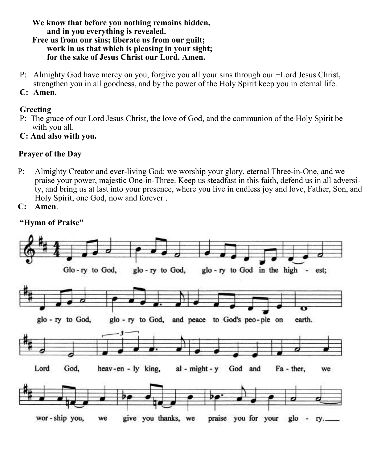#### **We know that before you nothing remains hidden, and in you everything is revealed. Free us from our sins; liberate us from our guilt; work in us that which is pleasing in your sight; for the sake of Jesus Christ our Lord. Amen.**

- P: Almighty God have mercy on you, forgive you all your sins through our +Lord Jesus Christ, strengthen you in all goodness, and by the power of the Holy Spirit keep you in eternal life.
- **C: Amen.**

#### **Greeting**

- P: The grace of our Lord Jesus Christ, the love of God, and the communion of the Holy Spirit be with you all.
- **C: And also with you.**

#### **Prayer of the Day**

Almighty Creator and ever-living God: we worship your glory, eternal Three-in-One, and we praise your power, majestic One-in-Three. Keep us steadfast in this faith, defend us in all adversity, and bring us at last into your presence, where you live in endless joy and love, Father, Son, and Holy Spirit, one God, now and forever . P:

**Amen**. **C:**

#### **"Hymn of Praise"**

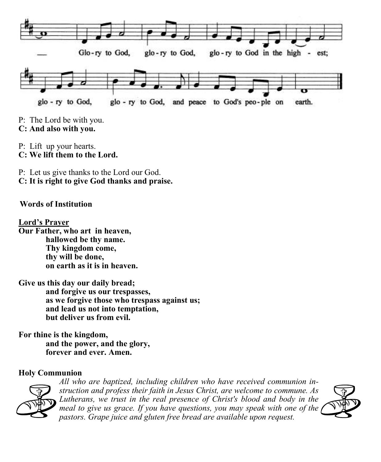

- P: The Lord be with you. **C: And also with you.**
- P: Lift up your hearts.
- **C: We lift them to the Lord.**
- P: Let us give thanks to the Lord our God. **C: It is right to give God thanks and praise.**

#### **Words of Institution**

**Lord's Prayer**

**Our Father, who art in heaven, hallowed be thy name. Thy kingdom come, thy will be done, on earth as it is in heaven.**

**Give us this day our daily bread; and forgive us our trespasses, as we forgive those who trespass against us; and lead us not into temptation, but deliver us from evil.** 

**For thine is the kingdom, and the power, and the glory, forever and ever. Amen.**

#### **Holy Communion**



*All who are baptized, including children who have received communion instruction and profess their faith in Jesus Christ, are welcome to commune. As*  Lutherans, we trust in the real presence of Christ's blood and body in the *meal to give us grace. If you have questions, you may speak with one of the pastors. Grape juice and gluten free bread are available upon request.*

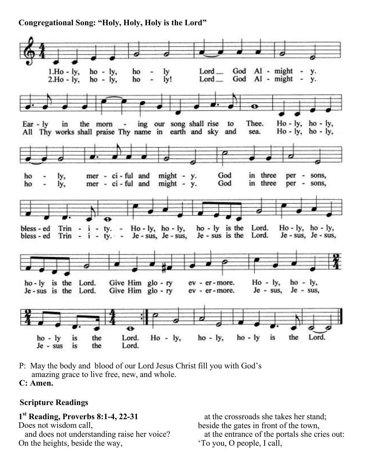**Congregational Song: "Holy, Holy, Holy is the Lord"**



- P: May the body and blood of our Lord Jesus Christ fill you with God's amazing grace to live free, new, and whole.
- **C: Amen.**

#### **Scripture Readings**

#### **1 st Reading, Proverbs 8:1-4, 22-31**

Does not wisdom call, and does not understanding raise her voice? On the heights, beside the way,

 at the crossroads she takes her stand; beside the gates in front of the town, at the entrance of the portals she cries out: 'To you, O people, I call,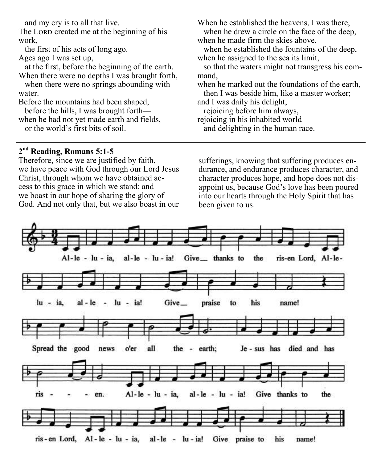| and my cry is to all that live.                  | When he established the heavens, I was there,    |
|--------------------------------------------------|--------------------------------------------------|
| The LORD created me at the beginning of his      | when he drew a circle on the face of the deep,   |
| work,                                            | when he made firm the skies above,               |
| the first of his acts of long ago.               | when he established the fountains of the deep,   |
| Ages ago I was set up,                           | when he assigned to the sea its limit,           |
| at the first, before the beginning of the earth. | so that the waters might not transgress his com- |
| When there were no depths I was brought forth,   | mand,                                            |
| when there were no springs abounding with        | when he marked out the foundations of the earth, |
| water.                                           | then I was beside him, like a master worker;     |
| Before the mountains had been shaped,            | and I was daily his delight,                     |
| before the hills, I was brought forth—           | rejoicing before him always,                     |
| when he had not yet made earth and fields,       | rejoicing in his inhabited world                 |
| or the world's first bits of soil.               | and delighting in the human race.                |

#### **2 nd Reading, Romans 5:1-5**

Therefore, since we are justified by faith, we have peace with God through our Lord Jesus Christ, through whom we have obtained access to this grace in which we stand; and we boast in our hope of sharing the glory of God. And not only that, but we also boast in our

sufferings, knowing that suffering produces endurance, and endurance produces character, and character produces hope, and hope does not disappoint us, because God's love has been poured into our hearts through the Holy Spirit that has been given to us.

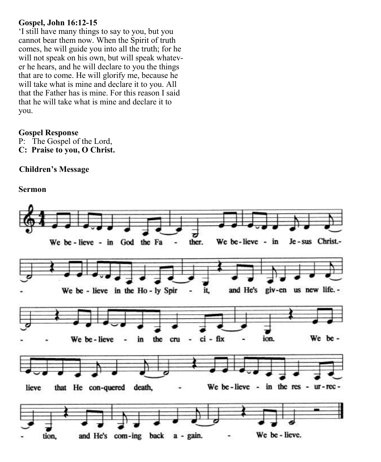#### **Gospel, John 16:12-15**

'I still have many things to say to you, but you cannot bear them now. When the Spirit of truth comes, he will guide you into all the truth; for he will not speak on his own, but will speak whatever he hears, and he will declare to you the things that are to come. He will glorify me, because he will take what is mine and declare it to you. All that the Father has is mine. For this reason I said that he will take what is mine and declare it to you.

#### **Gospel Response**

P: The Gospel of the Lord, **C: Praise to you, O Christ.**

#### **Children's Message**

**Sermon**

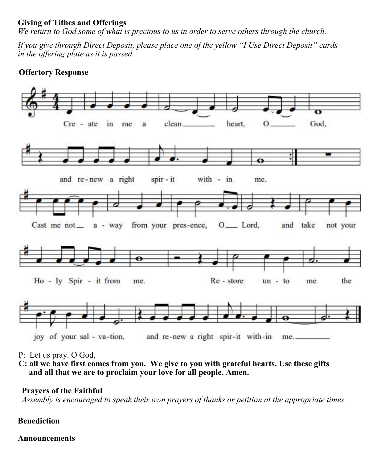#### **Giving of Tithes and Offerings**

*We return to God some of what is precious to us in order to serve others through the church.*

*If you give through Direct Deposit, please place one of the yellow "I Use Direct Deposit" cards in the offering plate as it is passed.* 

#### **Offertory Response**



#### P: Let us pray. O God,

**C: all we have first comes from you. We give to you with grateful hearts. Use these gifts and all that we are to proclaim your love for all people. Amen.**

#### **Prayers of the Faithful**

*Assembly is encouraged to speak their own prayers of thanks or petition at the appropriate times.*

#### **Benediction**

#### **Announcements**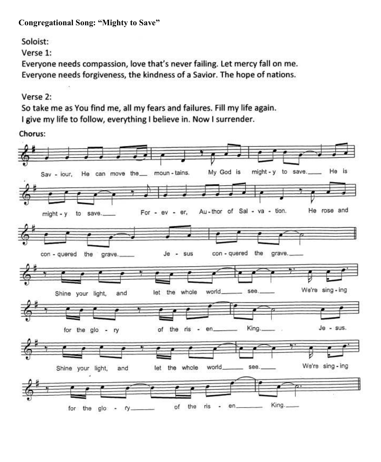#### **Congregational Song: "Mighty to Save"**

Soloist:

Verse 1:

Everyone needs compassion, love that's never failing. Let mercy fall on me. Everyone needs forgiveness, the kindness of a Savior. The hope of nations.

#### Verse 2:

So take me as You find me, all my fears and failures. Fill my life again. I give my life to follow, everything I believe in. Now I surrender.

Chorus:

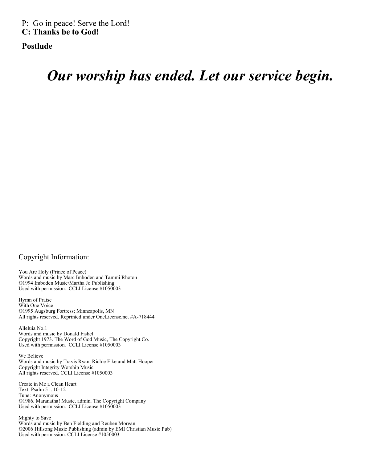**Postlude**

## *Our worship has ended. Let our service begin.*

Copyright Information:

You Are Holy (Prince of Peace) Words and music by Marc Imboden and Tammi Rhoton ©1994 Imboden Music/Martha Jo Publishing Used with permission. CCLI License #1050003

Hymn of Praise With One Voice ©1995 Augsburg Fortress; Minneapolis, MN All rights reserved. Reprinted under OneLicense.net #A-718444

Alleluia No.1 Words and music by Donald Fishel Copyright 1973. The Word of God Music, The Copyright Co. Used with permission. CCLI License #1050003

We Believe Words and music by Travis Ryan, Richie Fike and Matt Hooper Copyright Integrity Worship Music All rights reserved. CCLI License #1050003

Create in Me a Clean Heart Text: Psalm 51: 10-12 Tune: Anonymous ©1986. Maranatha! Music, admin. The Copyright Company Used with permission. CCLI License #1050003

Mighty to Save Words and music by Ben Fielding and Reuben Morgan ©2006 Hillsong Music Publishing (admin by EMI Christian Music Pub) Used with permission. CCLI License #1050003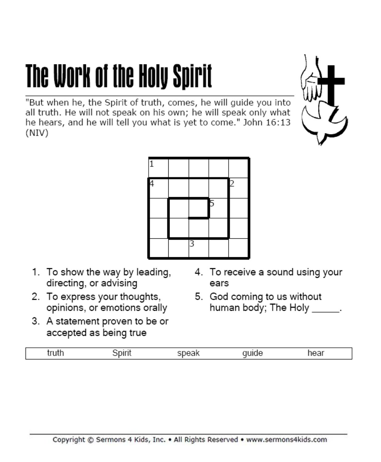# The Work of the Holy Spirit

"But when he, the Spirit of truth, comes, he will guide you into all truth. He will not speak on his own; he will speak only what he hears, and he will tell you what is yet to come." John 16:13  $(NIV)$ 



| ▯ |   |   |
|---|---|---|
| Λ |   | r |
|   |   |   |
|   |   |   |
|   | 3 |   |

- 1. To show the way by leading, directing, or advising
- 2. To express your thoughts, opinions, or emotions orally
- 3. A statement proven to be or accepted as being true
- 4. To receive a sound using your ears
- 5. God coming to us without human body; The Holy ...

|--|--|